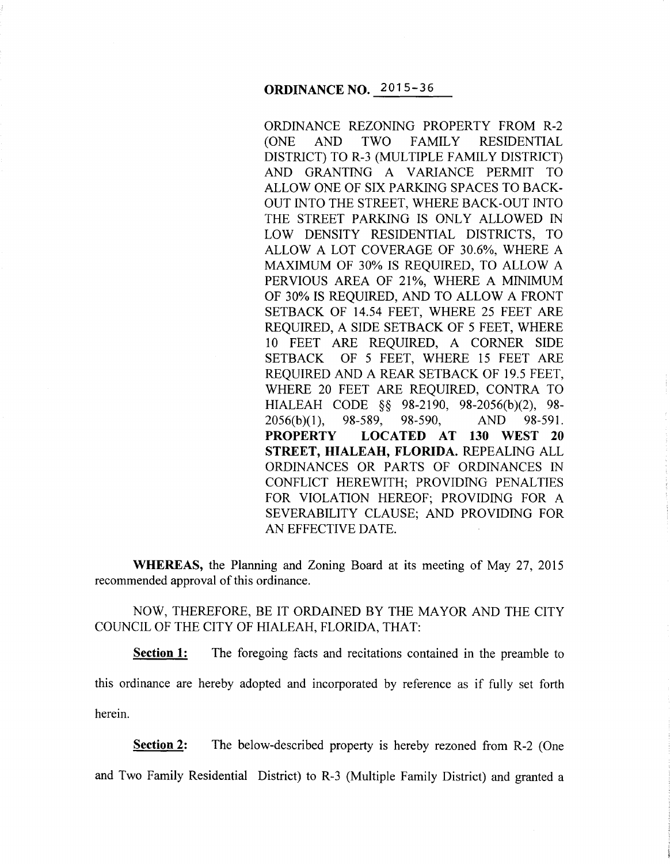ORDINANCE REZONING PROPERTY FROM R-2<br>(ONE AND TWO FAMILY RESIDENTIAL (ONE AND TWO FAMILY RESIDENTIAL DISTRICT) TO R-3 (MULTIPLE FAMILY DISTRICT) AND GRANTING A VARIANCE PERMIT TO ALLOW ONE OF SIX PARKING SPACES TO BACK-OUT INTO THE STREET, WHERE BACK-OUT INTO THE STREET PARKING IS ONLY ALLOWED IN LOW DENSITY RESIDENTIAL DISTRICTS, TO ALLOW A LOT COVERAGE OF 30.6%, WHERE A MAXIMUM OF 30% IS REQUIRED, TO ALLOW A PERVIOUS AREA OF 21%, WHERE A MINIMUM OF 30% IS REQUIRED, AND TO ALLOW A FRONT SETBACK OF 14.54 FEET, WHERE 25 FEET ARE REQUIRED, A SIDE SETBACK OF 5 FEET, WHERE 10 FEET ARE REQUIRED, A CORNER SIDE SETBACK OF 5 FEET, WHERE 15 FEET ARE REQUIRED AND A REAR SETBACK OF 19.5 FEET, WHERE 20 FEET ARE REQUIRED, CONTRA TO HIALEAH CODE §§ 98-2190, 98-2056(b)(2), 98- 2056(b)(l), 98-589, 98-590, AND 98-591. **PROPERTY LOCATED AT 130 WEST 20 STREET, HIALEAH, FLORIDA.** REPEALING ALL ORDINANCES OR PARTS OF ORDINANCES IN CONFLICT HEREWITH; PROVIDING PENALTIES FOR VIOLATION HEREOF; PROVIDING FOR A SEVERABILITY CLAUSE; AND PROVIDING FOR AN EFFECTIVE DATE.

**WHEREAS,** the Planning and Zoning Board at its meeting of May 27, 2015 recommended approval of this ordinance.

NOW, THEREFORE, BE IT ORDAINED BY THE MAYOR AND THE CITY COUNCIL OF THE CITY OF HIALEAH, FLORIDA, THAT:

**Section 1:** The foregoing facts and recitations contained in the preamble to

this ordinance are hereby adopted and incorporated by reference as if fully set forth herein.

**Section 2:** The below-described property is hereby rezoned from R-2 (One

and Two Family Residential District) to R-3 (Multiple Family District) and granted a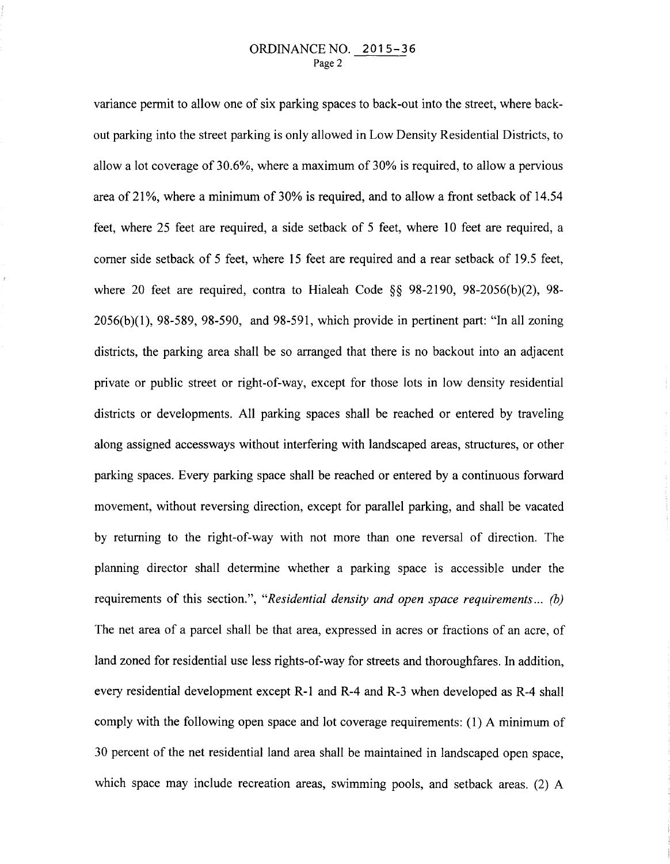## ORDINANCE NO. 2015-36 Page 2

variance permit to allow one of six parking spaces to back-out into the street, where backout parking into the street parking is only allowed in Low Density Residential Districts, to allow a lot coverage of 30.6%, where a maximum of 30% is required, to allow a pervious area of 21%, where a minimum of 30% is required, and to allow a front setback of 14.54 feet, where 25 feet are required, a side setback of 5 feet, where 10 feet are required, a corner side setback of 5 feet, where 15 feet are required and a rear setback of 19.5 feet, where 20 feet are required, contra to Hialeah Code  $\S$ § 98-2190, 98-2056(b)(2), 98-2056(b)(l), 98-589, 98-590, and 98-591, which provide in pertinent part: "In all zoning districts, the parking area shall be so arranged that there is no backout into an adjacent private or public street or right-of-way, except for those lots in low density residential districts or developments. All parking spaces shall be reached or entered by traveling along assigned accessways without interfering with landscaped areas, structures, or other parking spaces. Every parking space shall be reached or entered by a continuous forward movement, without reversing direction, except for parallel parking, and shall be vacated by returning to the right-of-way with not more than one reversal of direction. The planning director shall determine whether a parking space is accessible under the requirements of this section.", *"Residential density and open space requirements... (b)*  The net area of a parcel shall be that area, expressed in acres or fractions of an acre, of land zoned for residential use less rights-of-way for streets and thoroughfares. In addition, every residential development except R-1 and R-4 and R-3 when developed as R-4 shall comply with the following open space and lot coverage requirements: (1) A minimum of 30 percent of the net residential land area shall be maintained in landscaped open space, which space may include recreation areas, swimming pools, and setback areas. (2) A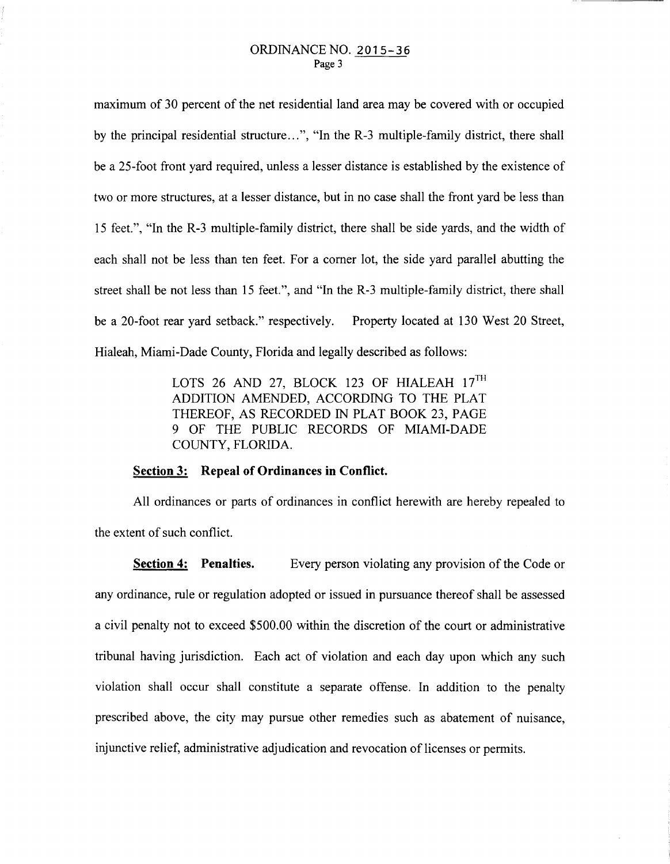maximum of 30 percent of the net residential land area may be covered with or occupied by the principal residential structure ... ", "In the R-3 multiple-family district, there shall be a 25-foot front yard required, unless a lesser distance is established by the existence of two or more structures, at a lesser distance, but in no case shall the front yard be less than 15 feet.", "In the R-3 multiple-family district, there shall be side yards, and the width of each shall not be less than ten feet. For a comer lot, the side yard parallel abutting the street shall be not less than 15 feet.", and "In the R-3 multiple-family district, there shall be a 20-foot rear yard setback." respectively. Property located at 130 West 20 Street, Hialeah, Miami-Dade County, Florida and legally described as follows:

> LOTS 26 AND 27, BLOCK 123 OF HIALEAH  $17^{\text{TH}}$ ADDITION AMENDED, ACCORDING TO THE PLAT THEREOF, AS RECORDED IN PLAT BOOK 23, PAGE 9 OF THE PUBLIC RECORDS OF MIAMI-DADE COUNTY, FLORIDA.

## **Section 3: Repeal of Ordinances in Conflict.**

All ordinances or parts of ordinances in conflict herewith are hereby repealed to the extent of such conflict.

**Section 4: Penalties.** Every person violating any provision of the Code or any ordinance, rule or regulation adopted or issued in pursuance thereof shall be assessed a civil penalty not to exceed \$500.00 within the discretion of the court or administrative tribunal having jurisdiction. Each act of violation and each day upon which any such violation shall occur shall constitute a separate offense. In addition to the penalty prescribed above, the city may pursue other remedies such as abatement of nuisance, injunctive relief, administrative adjudication and revocation of licenses or permits.